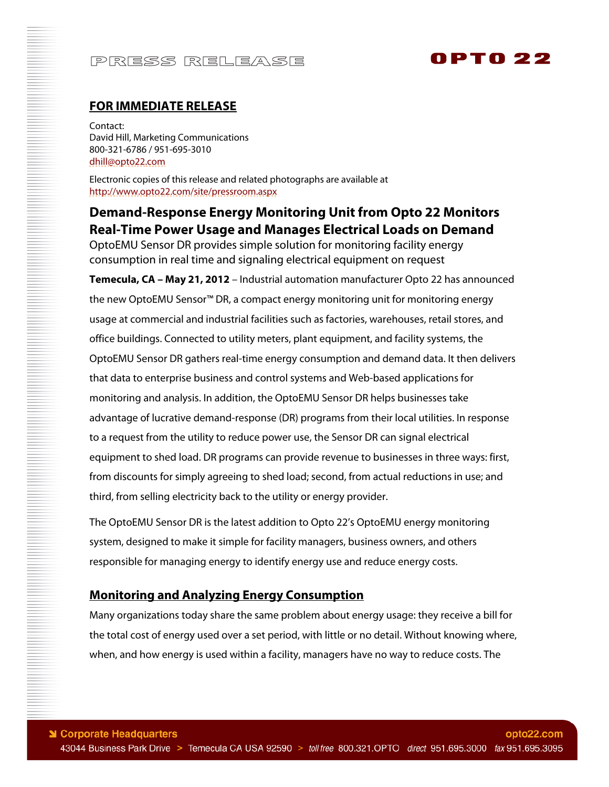# 0PT0 22

### **FOR IMMEDIATE RELEASE**

Contact: David Hill, Marketing Communications 800-321-6786 / 951-695-3010 dhill@opto22.com

Electronic copies of this release and related photographs are available at http://www.opto22.com/site/pressroom.aspx

## **Demand-Response Energy Monitoring Unit from Opto 22 Monitors Real-Time Power Usage and Manages Electrical Loads on Demand**

OptoEMU Sensor DR provides simple solution for monitoring facility energy consumption in real time and signaling electrical equipment on request

**Temecula, CA – May 21, 2012** – Industrial automation manufacturer Opto 22 has announced the new OptoEMU Sensor™ DR, a compact energy monitoring unit for monitoring energy usage at commercial and industrial facilities such as factories, warehouses, retail stores, and office buildings. Connected to utility meters, plant equipment, and facility systems, the OptoEMU Sensor DR gathers real-time energy consumption and demand data. It then delivers that data to enterprise business and control systems and Web-based applications for monitoring and analysis. In addition, the OptoEMU Sensor DR helps businesses take advantage of lucrative demand-response (DR) programs from their local utilities. In response to a request from the utility to reduce power use, the Sensor DR can signal electrical equipment to shed load. DR programs can provide revenue to businesses in three ways: first, from discounts for simply agreeing to shed load; second, from actual reductions in use; and third, from selling electricity back to the utility or energy provider.

The OptoEMU Sensor DR is the latest addition to Opto 22's OptoEMU energy monitoring system, designed to make it simple for facility managers, business owners, and others responsible for managing energy to identify energy use and reduce energy costs.

#### **Monitoring and Analyzing Energy Consumption**

Many organizations today share the same problem about energy usage: they receive a bill for the total cost of energy used over a set period, with little or no detail. Without knowing where, when, and how energy is used within a facility, managers have no way to reduce costs. The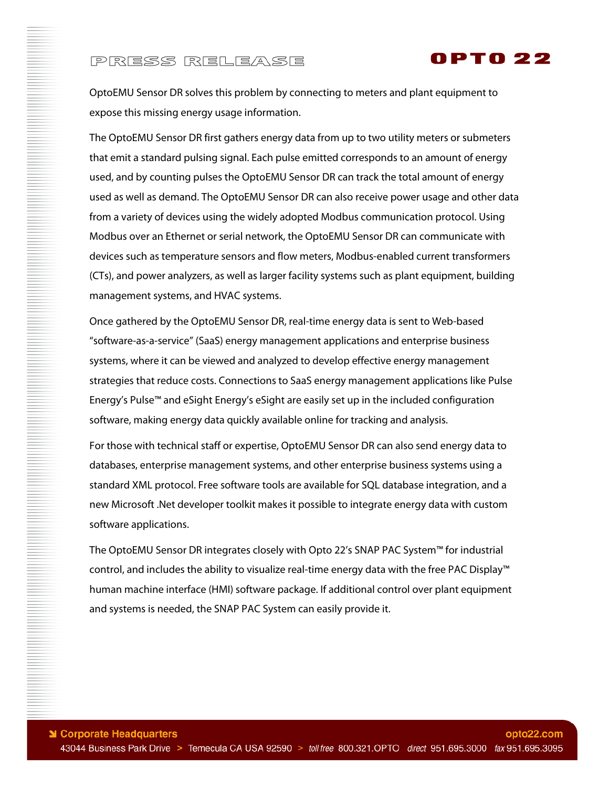

OptoEMU Sensor DR solves this problem by connecting to meters and plant equipment to expose this missing energy usage information.

The OptoEMU Sensor DR first gathers energy data from up to two utility meters or submeters that emit a standard pulsing signal. Each pulse emitted corresponds to an amount of energy used, and by counting pulses the OptoEMU Sensor DR can track the total amount of energy used as well as demand. The OptoEMU Sensor DR can also receive power usage and other data from a variety of devices using the widely adopted Modbus communication protocol. Using Modbus over an Ethernet or serial network, the OptoEMU Sensor DR can communicate with devices such as temperature sensors and flow meters, Modbus-enabled current transformers (CTs), and power analyzers, as well as larger facility systems such as plant equipment, building management systems, and HVAC systems.

Once gathered by the OptoEMU Sensor DR, real-time energy data is sent to Web-based "software-as-a-service" (SaaS) energy management applications and enterprise business systems, where it can be viewed and analyzed to develop effective energy management strategies that reduce costs. Connections to SaaS energy management applications like Pulse Energy's Pulse™ and eSight Energy's eSight are easily set up in the included configuration software, making energy data quickly available online for tracking and analysis.

For those with technical staff or expertise, OptoEMU Sensor DR can also send energy data to databases, enterprise management systems, and other enterprise business systems using a standard XML protocol. Free software tools are available for SQL database integration, and a new Microsoft .Net developer toolkit makes it possible to integrate energy data with custom software applications.

The OptoEMU Sensor DR integrates closely with Opto 22's SNAP PAC System™ for industrial control, and includes the ability to visualize real-time energy data with the free PAC Display™ human machine interface (HMI) software package. If additional control over plant equipment and systems is needed, the SNAP PAC System can easily provide it.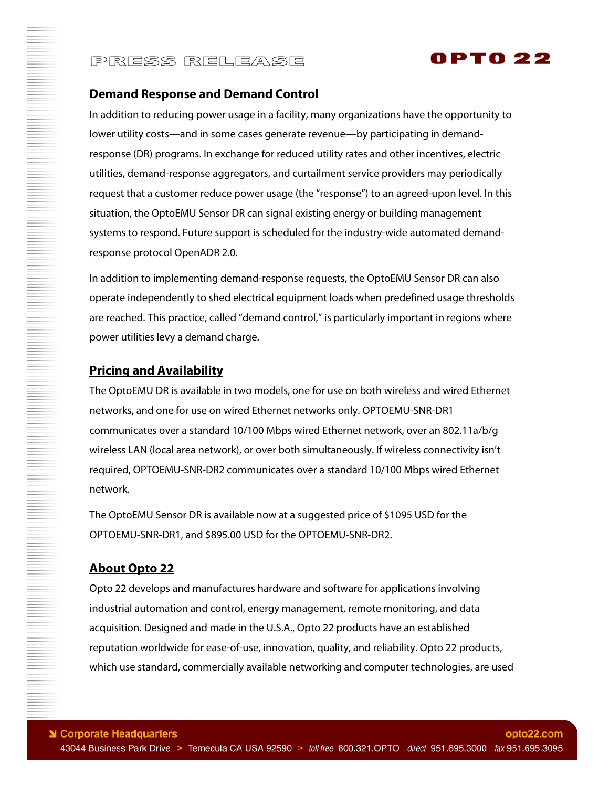

#### **Demand Response and Demand Control**

In addition to reducing power usage in a facility, many organizations have the opportunity to lower utility costs—and in some cases generate revenue—by participating in demandresponse (DR) programs. In exchange for reduced utility rates and other incentives, electric utilities, demand-response aggregators, and curtailment service providers may periodically request that a customer reduce power usage (the "response") to an agreed-upon level. In this situation, the OptoEMU Sensor DR can signal existing energy or building management systems to respond. Future support is scheduled for the industry-wide automated demandresponse protocol OpenADR 2.0.

In addition to implementing demand-response requests, the OptoEMU Sensor DR can also operate independently to shed electrical equipment loads when predefined usage thresholds are reached. This practice, called "demand control," is particularly important in regions where power utilities levy a demand charge.

### **Pricing and Availability**

The OptoEMU DR is available in two models, one for use on both wireless and wired Ethernet networks, and one for use on wired Ethernet networks only. OPTOEMU-SNR-DR1 communicates over a standard 10/100 Mbps wired Ethernet network, over an 802.11a/b/g wireless LAN (local area network), or over both simultaneously. If wireless connectivity isn't required, OPTOEMU-SNR-DR2 communicates over a standard 10/100 Mbps wired Ethernet network.

The OptoEMU Sensor DR is available now at a suggested price of \$1095 USD for the OPTOEMU-SNR-DR1, and \$895.00 USD for the OPTOEMU-SNR-DR2.

### **About Opto 22**

Opto 22 develops and manufactures hardware and software for applications involving industrial automation and control, energy management, remote monitoring, and data acquisition. Designed and made in the U.S.A., Opto 22 products have an established reputation worldwide for ease-of-use, innovation, quality, and reliability. Opto 22 products, which use standard, commercially available networking and computer technologies, are used